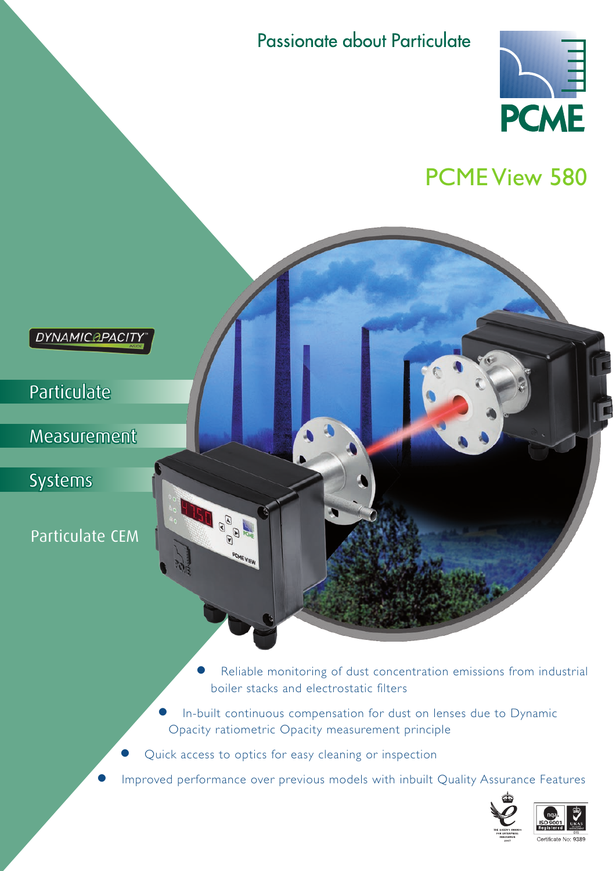Passionate about Particulate



# PCME View 580 **DYNAMICAPACIT Particulate**  Measurement Systems  $\begin{picture}(180,170) \put(0,0){\line(1,0){155}} \put(10,0){\line(1,0){155}} \put(10,0){\line(1,0){155}} \put(10,0){\line(1,0){155}} \put(10,0){\line(1,0){155}} \put(10,0){\line(1,0){155}} \put(10,0){\line(1,0){155}} \put(10,0){\line(1,0){155}} \put(10,0){\line(1,0){155}} \put(10,0){\line(1,0){155}} \put(10,0){\line(1,0){155$ Particulate CEM

Reliable monitoring of dust concentration emissions from industrial boiler stacks and electrostatic filters

- In-built continuous compensation for dust on lenses due to Dynamic Opacity ratiometric Opacity measurement principle
- Quick access to optics for easy cleaning or inspection
- Improved performance over previous models with inbuilt Quality Assurance Features



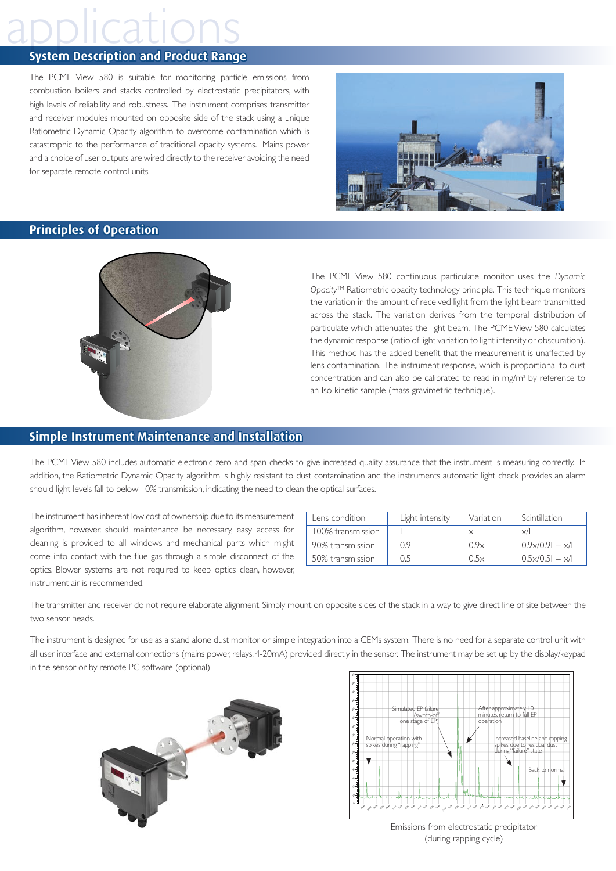## **System Description and Product Range**

The PCME View 580 is suitable for monitoring particle emissions from combustion boilers and stacks controlled by electrostatic precipitators, with high levels of reliability and robustness. The instrument comprises transmitter and receiver modules mounted on opposite side of the stack using a unique Ratiometric Dynamic Opacity algorithm to overcome contamination which is catastrophic to the performance of traditional opacity systems. Mains power and a choice of user outputs are wired directly to the receiver avoiding the need for separate remote control units.



### **Principles of Operation**



The PCME View 580 continuous particulate monitor uses the *Dynamic Opacity*TM Ratiometric opacity technology principle. This technique monitors the variation in the amount of received light from the light beam transmitted across the stack. The variation derives from the temporal distribution of particulate which attenuates the light beam. The PCME View 580 calculates the dynamic response (ratio of light variation to light intensity or obscuration). This method has the added benefit that the measurement is unaffected by lens contamination. The instrument response, which is proportional to dust concentration and can also be calibrated to read in mg/m<sup>3</sup> by reference to an Iso-kinetic sample (mass gravimetric technique).

### **Simple Instrument Maintenance and Installation**

The PCME View 580 includes automatic electronic zero and span checks to give increased quality assurance that the instrument is measuring correctly. In addition, the Ratiometric Dynamic Opacity algorithm is highly resistant to dust contamination and the instruments automatic light check provides an alarm should light levels fall to below 10% transmission, indicating the need to clean the optical surfaces.

The instrument has inherent low cost of ownership due to its measurement algorithm, however, should maintenance be necessary, easy access for cleaning is provided to all windows and mechanical parts which might come into contact with the flue gas through a simple disconnect of the optics. Blower systems are not required to keep optics clean, however, instrument air is recommended.

| Lens condition    | Light intensity | Variation | Scintillation                  |  |
|-------------------|-----------------|-----------|--------------------------------|--|
| 100% transmission |                 |           | $\times/$                      |  |
| 90% transmission  | 0.91            | 0.9x      | $0.9 \times 0.91 = \times 1$   |  |
| 50% transmission  | 0 51            | 0.5x      | $0.5 \times 10.51 = \times 11$ |  |

The transmitter and receiver do not require elaborate alignment. Simply mount on opposite sides of the stack in a way to give direct line of site between the two sensor heads.

The instrument is designed for use as a stand alone dust monitor or simple integration into a CEMs system. There is no need for a separate control unit with all user interface and external connections (mains power, relays, 4-20mA) provided directly in the sensor. The instrument may be set up by the display/keypad in the sensor or by remote PC software (optional)





Emissions from electrostatic precipitator (during rapping cycle)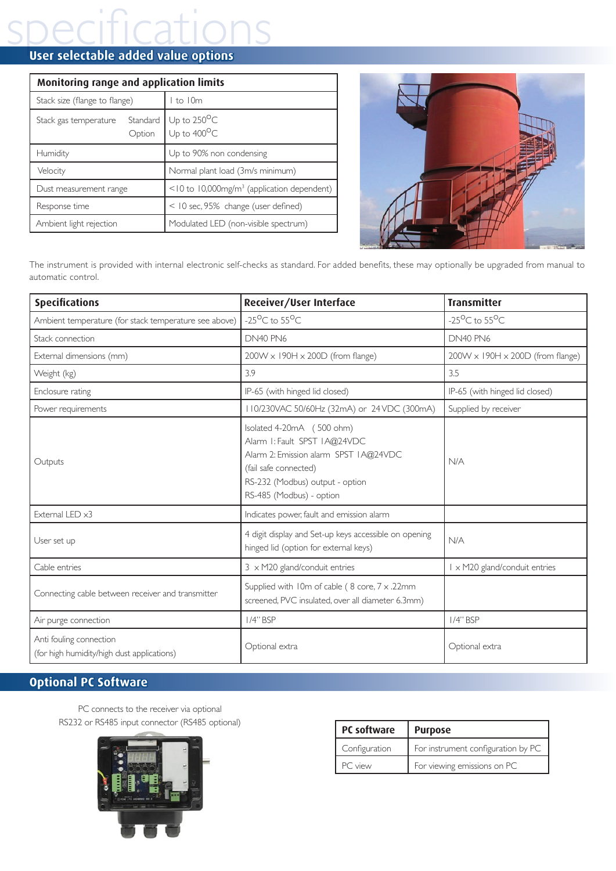# specifications **User selectable added value options**

| <b>Monitoring range and application limits</b> |                                                        |  |  |  |
|------------------------------------------------|--------------------------------------------------------|--|--|--|
| Stack size (flange to flange)                  | I to I0m                                               |  |  |  |
| Standard<br>Stack gas temperature<br>Option    | Up to $250^{\circ}$ C<br>Up to $400^{\circ}$ C         |  |  |  |
| Humidity                                       | Up to 90% non condensing                               |  |  |  |
| Velocity                                       | Normal plant load (3m/s minimum)                       |  |  |  |
| Dust measurement range                         | <10 to 10,000mg/m <sup>3</sup> (application dependent) |  |  |  |
| Response time                                  | < 10 sec, 95% change (user defined)                    |  |  |  |
| Ambient light rejection                        | Modulated LED (non-visible spectrum)                   |  |  |  |



The instrument is provided with internal electronic self-checks as standard. For added benefits, these may optionally be upgraded from manual to automatic control.

| <b>Specifications</b>                                                 | Receiver/User Interface                                                                                                                                                                    | <b>Transmitter</b>                           |  |  |
|-----------------------------------------------------------------------|--------------------------------------------------------------------------------------------------------------------------------------------------------------------------------------------|----------------------------------------------|--|--|
| Ambient temperature (for stack temperature see above)                 | $-25^{\circ}$ C to $55^{\circ}$ C                                                                                                                                                          | $-25^{\circ}$ C to $55^{\circ}$ C            |  |  |
| Stack connection                                                      | DN40 PN6                                                                                                                                                                                   | DN40 PN6                                     |  |  |
| External dimensions (mm)                                              | $200W \times 190H \times 200D$ (from flange)                                                                                                                                               | $200W \times 190H \times 200D$ (from flange) |  |  |
| Weight (kg)                                                           | 3.9                                                                                                                                                                                        | 3.5                                          |  |  |
| Enclosure rating                                                      | IP-65 (with hinged lid closed)                                                                                                                                                             | IP-65 (with hinged lid closed)               |  |  |
| Power requirements                                                    | 110/230VAC 50/60Hz (32mA) or 24VDC (300mA)                                                                                                                                                 | Supplied by receiver                         |  |  |
| Outputs                                                               | Isolated 4-20mA (500 ohm)<br>Alarm I: Fault SPST IA@24VDC<br>Alarm 2: Emission alarm SPST IA@24VDC<br>(fail safe connected)<br>RS-232 (Modbus) output - option<br>RS-485 (Modbus) - option | N/A                                          |  |  |
| External LED x3                                                       | Indicates power, fault and emission alarm                                                                                                                                                  |                                              |  |  |
| User set up                                                           | 4 digit display and Set-up keys accessible on opening<br>hinged lid (option for external keys)                                                                                             | N/A                                          |  |  |
| Cable entries                                                         | $3 \times M20$ gland/conduit entries                                                                                                                                                       | 1 x M20 gland/conduit entries                |  |  |
| Connecting cable between receiver and transmitter                     | Supplied with 10m of cable (8 core, 7 x .22mm<br>screened, PVC insulated, over all diameter 6.3mm)                                                                                         |                                              |  |  |
| Air purge connection                                                  | $1/4$ " BSP                                                                                                                                                                                | $1/4$ " BSP                                  |  |  |
| Anti fouling connection<br>(for high humidity/high dust applications) | Optional extra                                                                                                                                                                             | Optional extra                               |  |  |

# **Optional PC Software**

PC connects to the receiver via optional RS232 or RS485 input connector (RS485 optional)



| PC software   | <b>Purpose</b>                     |  |  |  |
|---------------|------------------------------------|--|--|--|
| Configuration | For instrument configuration by PC |  |  |  |
| PC view       | For viewing emissions on PC        |  |  |  |